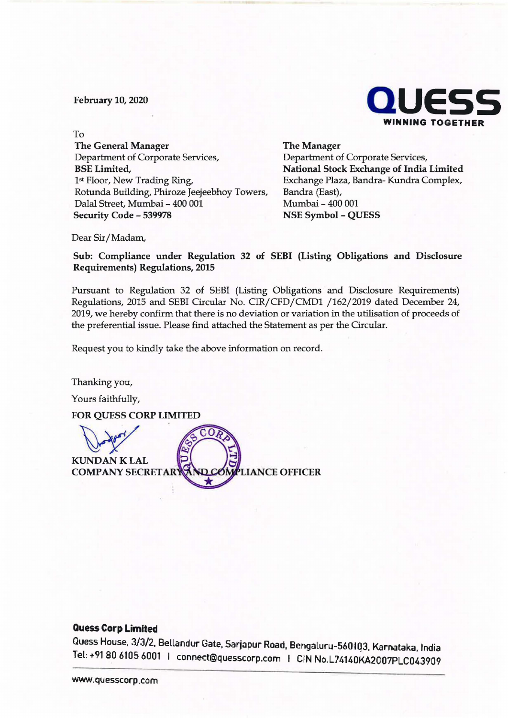February 10, 2020



To **The General Manager**  Department of Corporate Services, **BSE Limited,**  1st Floor, New Trading Ring, Rotunda Building, Phiroze Jeejeebhoy Towers, Dalal Street, Mumbai - 400 001 **Security Code** - **539978** 

**The Manager**  Department of Corporate Services, **National Stock Exchange of India Limited**  Exchange Plaza, Bandra- Kundra Complex, Bandra (East), Mumbai - 400 001 **NSE Symbol** - **QUESS** 

Dear Sir/ **Madam,** 

**Sub: Compliance under Regulation 32 of SEBI (Listing Obligations and Disclosure Requirements) Regulations, 2015** 

Pursuant to Regulation 32 of SEBI (Listing Obligations and Disclosure Requirements) Regulations, 2015 and SEBI Circular No. CIR/CFD/CMDl /162/2019 dated December 24, 2019, we hereby confirm that there is no deviation or variation in the utilisation of proceeds of the preferential issue. Please find attached the Statement as per the Circular.

Request you to kindly take the above information on record.

Thanking you,

Yours faithfully,



## **Quess Corp Limited**

Quess House, 3/3/2, Bellandur Gate, Sarjapur Road, Bengaluru-560103, Karnataka, India Tel: +91 80 6105 6001 I connect@quesscorp.com I CIN No,L74140KA2007PLC043909